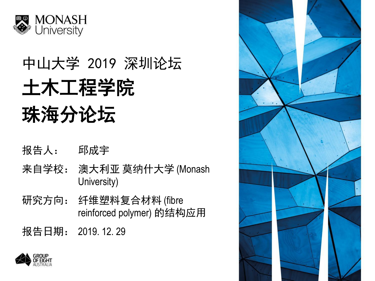

# 中山大学 2019 深圳论坛 土木工程学院 珠海分论坛

- 报告人: 邱成宇
- 来自学校: 澳大利亚 莫纳什大学 (Monash University)
- 研究方向: 纤维塑料复合材料 (fibre reinforced polymer) 的结构应用

报告日期: 2019. 12. 29



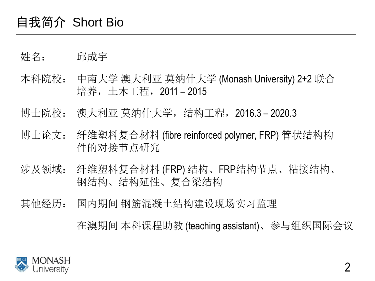#### 自我简介 Short Bio

- 姓名: 邱成宇
- 本科院校: 中南大学 澳大利亚 莫纳什大学 (Monash University) 2+2 联合 培养,土木工程,2011 – 2015
- 博士院校: 澳大利亚 莫纳什大学,结构工程,2016.3 2020.3
- 博士论文: 纤维塑料复合材料 (fibre reinforced polymer, FRP) 管状结构构 件的对接节点研究
- 涉及领域: 纤维塑料复合材料 (FRP) 结构、FRP结构节点、粘接结构、 钢结构、结构延性、复合梁结构
- 其他经历: 国内期间 钢筋混凝土结构建设现场实习监理

在澳期间 本科课程助教 (teaching assistant)、参与组织国际会议

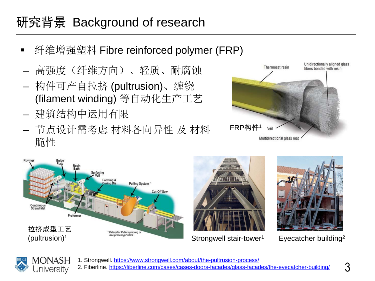### 研究背景 Background of research

- 纤维增强塑料 Fibre reinforced polymer (FRP)
- 高强度(纤维方向)、轻质、耐腐蚀
- 构件可产自拉挤 (pultrusion)、缠绕 (filament winding) 等自动化生产工艺
- 建筑结构中运用有限
- 节点设计需考虑 材料各向异性 及 材料 脆性









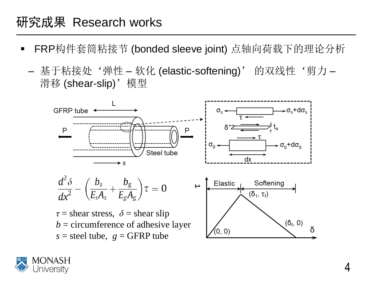- FRP构件套筒粘接节 (bonded sleeve joint) 点轴向荷载下的理论分析
	- 基于粘接处'弹性 软化 (elastic-softening)' 的双线性'剪力 滑移 (shear-slip)'模型



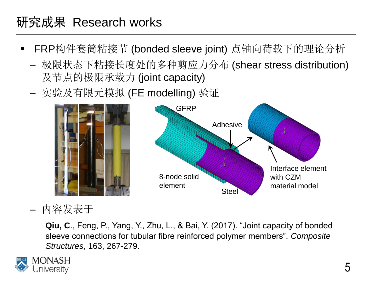- FRP构件套筒粘接节 (bonded sleeve joint) 点轴向荷载下的理论分析
	- 极限状态下粘接长度处的多种剪应力分布 (shear stress distribution) 及节点的极限承载力 (joint capacity)
	- 实验及有限元模拟 (FE modelling) 验证



#### – 内容发表于

**Qiu, C**., Feng, P., Yang, Y., Zhu, L., & Bai, Y. (2017). "Joint capacity of bonded sleeve connections for tubular fibre reinforced polymer members". *Composite Structures*, 163, 267-279.

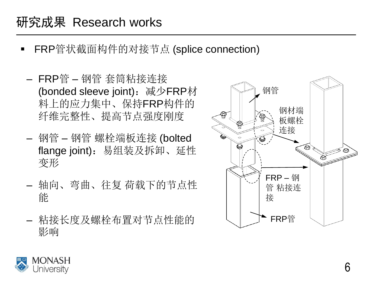- FRP管状截面构件的对接节点 (splice connection)
	- FRP管 钢管 套筒粘接连接 (bonded sleeve joint): 减少FRP材 料上的应力集中、保持FRP构件的 纤维完整性、提高节点强度刚度
	- 钢管 钢管 螺栓端板连接 (bolted flange joint):易组装及拆卸、延性 变形
	- 轴向、弯曲、往复 荷载下的节点性 能
	- 粘接长度及螺栓布置对节点性能的 影响



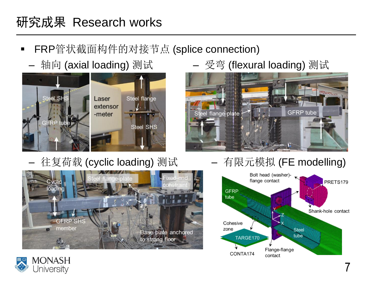- FRP管状截面构件的对接节点 (splice connection)
	-



– 往复荷载 (cyclic loading) 测试 —— 有限元模拟 (FE modelling)



\_轴向 (axial loading) 测试 – 受弯 (flexural loading) 测试





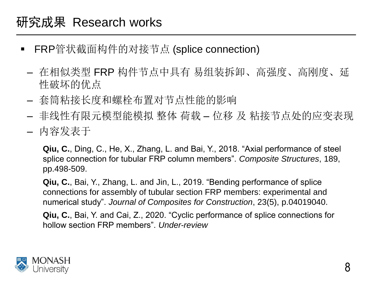- FRP管状截面构件的对接节点 (splice connection)
	- 在相似类型 FRP 构件节点中具有 易组装拆卸、高强度、高刚度、延 性破坏的优点
	- 套筒粘接长度和螺栓布置对节点性能的影响
	- 非线性有限元模型能模拟 整体 荷载 位移 及 粘接节点处的应变表现
	- 内容发表于

**Qiu, C.**, Ding, C., He, X., Zhang, L. and Bai, Y., 2018. "Axial performance of steel splice connection for tubular FRP column members". *Composite Structures*, 189, pp.498-509.

**Qiu, C.**, Bai, Y., Zhang, L. and Jin, L., 2019. "Bending performance of splice connections for assembly of tubular section FRP members: experimental and numerical study". *Journal of Composites for Construction*, 23(5), p.04019040.

**Qiu, C.**, Bai, Y. and Cai, Z., 2020. "Cyclic performance of splice connections for hollow section FRP members". *Under-review*

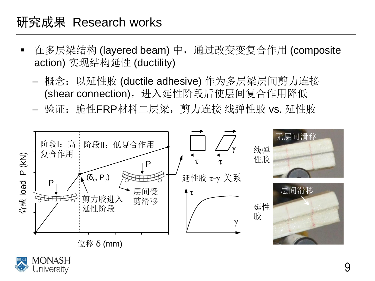- 在多层梁结构 (layered beam) 中, 通过改变变复合作用 (composite action) 实现结构延性 (ductility)
	- 概念: 以延性胶 (ductile adhesive) 作为多层梁层间剪力连接 (shear connection), 进入延性阶段后使层间复合作用降低
	- 验证:脆性FRP材料二层梁,剪力连接 线弹性胶 vs. 延性胶

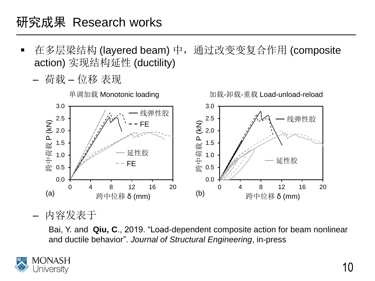- 在多层梁结构 (layered beam) 中,通过改变变复合作用 (composite action) 实现结构延性 (ductility)
	- 荷载 位移 表现



– 内容发表于

Bai, Y. and **Qiu, C**., 2019. "Load-dependent composite action for beam nonlinear and ductile behavior". *Journal of Structural Engineering*, in-press

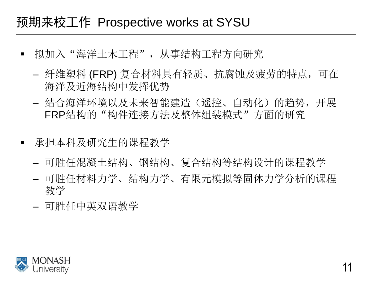#### 预期来校工作 Prospective works at SYSU

- 拟加入 "海洋土木工程" ,从事结构工程方向研究
	- 纤维塑料 (FRP) 复合材料具有轻质、抗腐蚀及疲劳的特点,可在 海洋及近海结构中发挥优势
	- 结合海洋环境以及未来智能建造(遥控、自动化)的趋势,开展 FRP结构的"构件连接方法及整体组装模式"方面的研究
- 承担本科及研究生的课程教学
	- 可胜任混凝土结构、钢结构、复合结构等结构设计的课程教学
	- 可胜任材料力学、结构力学、有限元模拟等固体力学分析的课程 教学
	- 可胜任中英双语教学